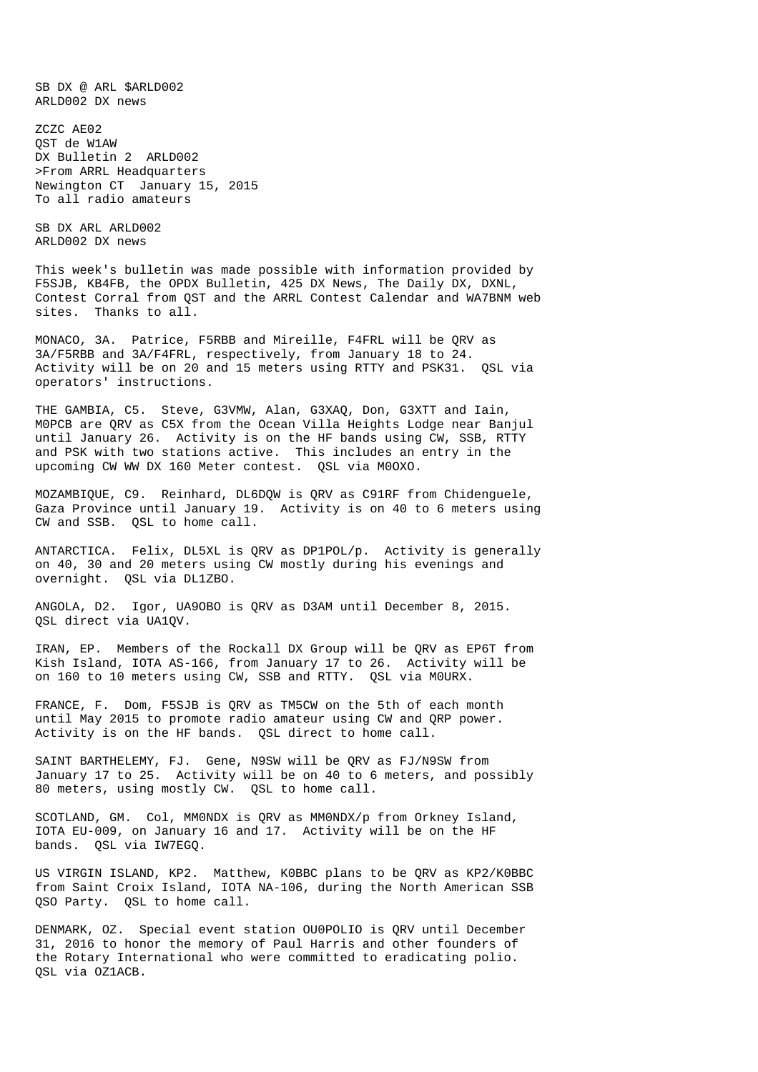SB DX @ ARL \$ARLD002 ARLD002 DX news

ZCZC AE02 QST de W1AW DX Bulletin 2 ARLD002 >From ARRL Headquarters Newington CT January 15, 2015 To all radio amateurs

SB DX ARL ARLD002 ARLD002 DX news

This week's bulletin was made possible with information provided by F5SJB, KB4FB, the OPDX Bulletin, 425 DX News, The Daily DX, DXNL, Contest Corral from QST and the ARRL Contest Calendar and WA7BNM web sites. Thanks to all.

MONACO, 3A. Patrice, F5RBB and Mireille, F4FRL will be QRV as 3A/F5RBB and 3A/F4FRL, respectively, from January 18 to 24. Activity will be on 20 and 15 meters using RTTY and PSK31. QSL via operators' instructions.

THE GAMBIA, C5. Steve, G3VMW, Alan, G3XAQ, Don, G3XTT and Iain, M0PCB are QRV as C5X from the Ocean Villa Heights Lodge near Banjul until January 26. Activity is on the HF bands using CW, SSB, RTTY and PSK with two stations active. This includes an entry in the upcoming CW WW DX 160 Meter contest. QSL via M0OXO.

MOZAMBIQUE, C9. Reinhard, DL6DQW is QRV as C91RF from Chidenguele, Gaza Province until January 19. Activity is on 40 to 6 meters using CW and SSB. QSL to home call.

ANTARCTICA. Felix, DL5XL is QRV as DP1POL/p. Activity is generally on 40, 30 and 20 meters using CW mostly during his evenings and overnight. QSL via DL1ZBO.

ANGOLA, D2. Igor, UA9OBO is QRV as D3AM until December 8, 2015. QSL direct via UA1QV.

IRAN, EP. Members of the Rockall DX Group will be QRV as EP6T from Kish Island, IOTA AS-166, from January  $17$  to 26. Activity will be on 160 to 10 meters using CW, SSB and RTTY. QSL via M0URX.

FRANCE, F. Dom, F5SJB is QRV as TM5CW on the 5th of each month until May 2015 to promote radio amateur using CW and QRP power. Activity is on the HF bands. QSL direct to home call.

SAINT BARTHELEMY, FJ. Gene, N9SW will be QRV as FJ/N9SW from January 17 to 25. Activity will be on 40 to 6 meters, and possibly 80 meters, using mostly CW. QSL to home call.

SCOTLAND, GM. Col, MM0NDX is QRV as MM0NDX/p from Orkney Island, IOTA EU-009, on January 16 and 17. Activity will be on the HF bands. QSL via IW7EGQ.

US VIRGIN ISLAND, KP2. Matthew, K0BBC plans to be QRV as KP2/K0BBC from Saint Croix Island, IOTA NA-106, during the North American SSB QSO Party. QSL to home call.

DENMARK, OZ. Special event station OU0POLIO is QRV until December 31, 2016 to honor the memory of Paul Harris and other founders of the Rotary International who were committed to eradicating polio. QSL via OZ1ACB.